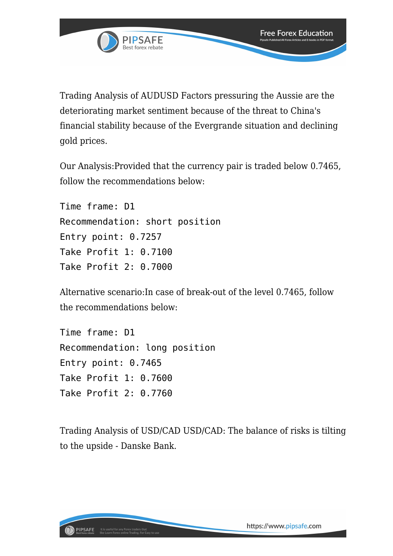

Trading Analysis of AUDUSD Factors pressuring the Aussie are the deteriorating market sentiment because of the threat to China's financial stability because of the Evergrande situation and declining gold prices.

Our Analysis:Provided that the currency pair is traded below 0.7465, follow the recommendations below:

Time frame: D1 Recommendation: short position Entry point: 0.7257 Take Profit 1: 0.7100 Take Profit 2: 0.7000

Alternative scenario:In case of break-out of the level 0.7465, follow the recommendations below:

Time frame: D1 Recommendation: long position Entry point: 0.7465 Take Profit 1: 0.7600 Take Profit 2: 0.7760

Trading Analysis of USD/CAD USD/CAD: The balance of risks is tilting to the upside - Danske Bank.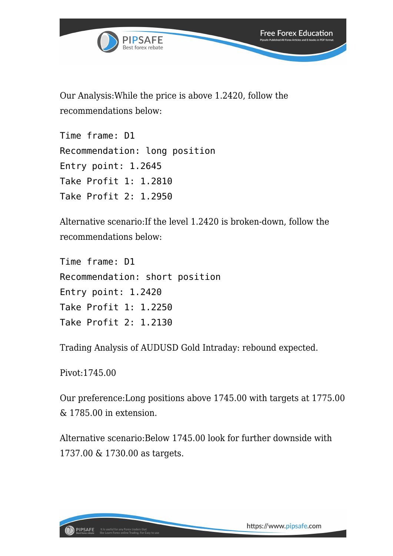

Our Analysis:While the price is above 1.2420, follow the recommendations below:

Time frame: D1 Recommendation: long position Entry point: 1.2645 Take Profit 1: 1.2810 Take Profit 2: 1.2950

Alternative scenario:If the level 1.2420 is broken-down, follow the recommendations below:

Time frame: D1 Recommendation: short position Entry point: 1.2420 Take Profit 1: 1.2250 Take Profit 2: 1.2130

Trading Analysis of AUDUSD Gold Intraday: rebound expected.

Pivot:1745.00

Our preference:Long positions above 1745.00 with targets at 1775.00 & 1785.00 in extension.

Alternative scenario:Below 1745.00 look for further downside with 1737.00 & 1730.00 as targets.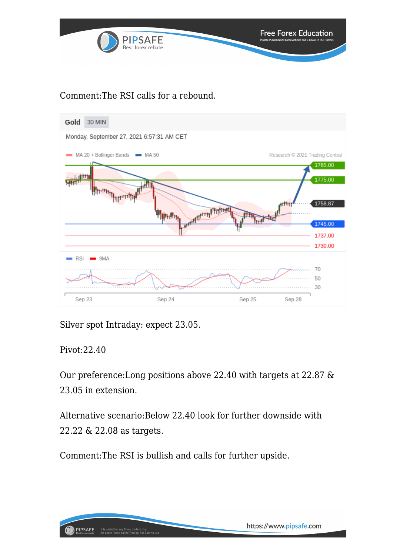

## Comment:The RSI calls for a rebound.



Silver spot Intraday: expect 23.05.

Pivot:22.40

Our preference:Long positions above 22.40 with targets at 22.87 & 23.05 in extension.

Alternative scenario:Below 22.40 look for further downside with 22.22 & 22.08 as targets.

Comment:The RSI is bullish and calls for further upside.

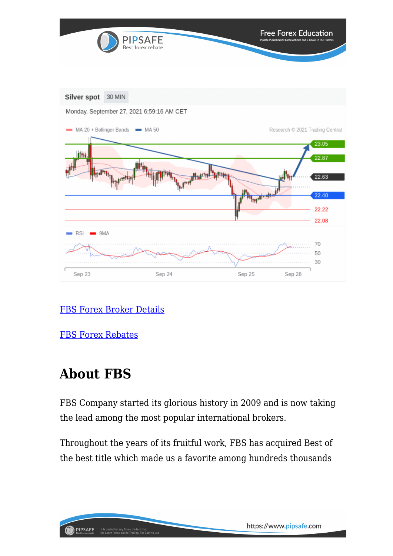

## [FBS Forex Broker Details](https://www.pipsafe.com/Broker-Details/?broker=FBS)

[FBS Forex Rebates](http://www.fbs.com/?ppk=pipsafe)

## **About FBS**

FBS Company started its glorious history in 2009 and is now taking the lead among the most popular international brokers.

Throughout the years of its fruitful work, FBS has acquired Best of the best title which made us a favorite among hundreds thousands